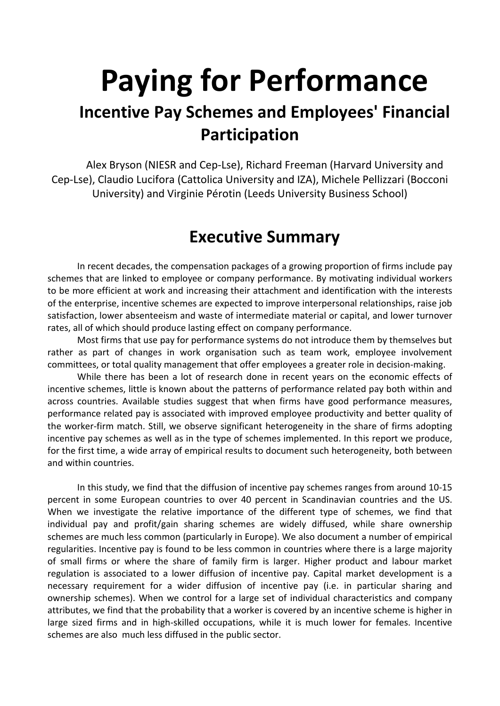## **Paying for Performance**

## **Incentive Pay Schemes and Employees' Financial Participation**

Alex Bryson (NIESR and Cep-Lse), Richard Freeman (Harvard University and Cep-Lse), Claudio Lucifora (Cattolica University and IZA), Michele Pellizzari (Bocconi University) and Virginie Pérotin (Leeds University Business School)

## **Executive Summary**

In recent decades, the compensation packages of a growing proportion of firms include pay schemes that are linked to employee or company performance. By motivating individual workers to be more efficient at work and increasing their attachment and identification with the interests of the enterprise, incentive schemes are expected to improve interpersonal relationships, raise job satisfaction, lower absenteeism and waste of intermediate material or capital, and lower turnover rates, all of which should produce lasting effect on company performance.

Most firms that use pay for performance systems do not introduce them by themselves but rather as part of changes in work organisation such as team work, employee involvement committees, or total quality management that offer employees a greater role in decision-making.

While there has been a lot of research done in recent years on the economic effects of incentive schemes, little is known about the patterns of performance related pay both within and across countries. Available studies suggest that when firms have good performance measures, performance related pay is associated with improved employee productivity and better quality of the worker-firm match. Still, we observe significant heterogeneity in the share of firms adopting incentive pay schemes as well as in the type of schemes implemented. In this report we produce, for the first time, a wide array of empirical results to document such heterogeneity, both between and within countries.

In this study, we find that the diffusion of incentive pay schemes ranges from around 10-15 percent in some European countries to over 40 percent in Scandinavian countries and the US. When we investigate the relative importance of the different type of schemes, we find that individual pay and profit/gain sharing schemes are widely diffused, while share ownership schemes are much less common (particularly in Europe). We also document a number of empirical regularities. Incentive pay is found to be less common in countries where there is a large majority of small firms or where the share of family firm is larger. Higher product and labour market regulation is associated to a lower diffusion of incentive pay. Capital market development is a necessary requirement for a wider diffusion of incentive pay (i.e. in particular sharing and ownership schemes). When we control for a large set of individual characteristics and company attributes, we find that the probability that a worker is covered by an incentive scheme is higher in large sized firms and in high-skilled occupations, while it is much lower for females. Incentive schemes are also much less diffused in the public sector.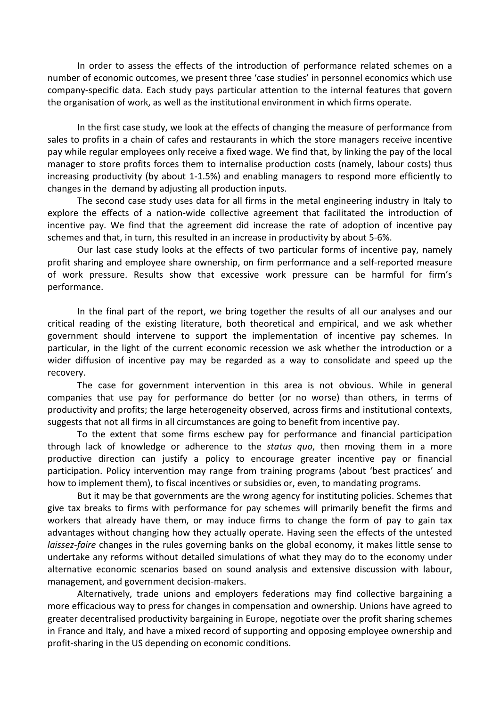In order to assess the effects of the introduction of performance related schemes on a number of economic outcomes, we present three 'case studies' in personnel economics which use company-specific data. Each study pays particular attention to the internal features that govern the organisation of work, as well as the institutional environment in which firms operate.

In the first case study, we look at the effects of changing the measure of performance from sales to profits in a chain of cafes and restaurants in which the store managers receive incentive pay while regular employees only receive a fixed wage. We find that, by linking the pay of the local manager to store profits forces them to internalise production costs (namely, labour costs) thus increasing productivity (by about 1-1.5%) and enabling managers to respond more efficiently to changes in the demand by adjusting all production inputs.

The second case study uses data for all firms in the metal engineering industry in Italy to explore the effects of a nation-wide collective agreement that facilitated the introduction of incentive pay. We find that the agreement did increase the rate of adoption of incentive pay schemes and that, in turn, this resulted in an increase in productivity by about 5-6%.

Our last case study looks at the effects of two particular forms of incentive pay, namely profit sharing and employee share ownership, on firm performance and a self-reported measure of work pressure. Results show that excessive work pressure can be harmful for firm's performance.

In the final part of the report, we bring together the results of all our analyses and our critical reading of the existing literature, both theoretical and empirical, and we ask whether government should intervene to support the implementation of incentive pay schemes. In particular, in the light of the current economic recession we ask whether the introduction or a wider diffusion of incentive pay may be regarded as a way to consolidate and speed up the recovery.

The case for government intervention in this area is not obvious. While in general companies that use pay for performance do better (or no worse) than others, in terms of productivity and profits; the large heterogeneity observed, across firms and institutional contexts, suggests that not all firms in all circumstances are going to benefit from incentive pay.

To the extent that some firms eschew pay for performance and financial participation through lack of knowledge or adherence to the *status quo*, then moving them in a more productive direction can justify a policy to encourage greater incentive pay or financial participation. Policy intervention may range from training programs (about 'best practices' and how to implement them), to fiscal incentives or subsidies or, even, to mandating programs.

But it may be that governments are the wrong agency for instituting policies. Schemes that give tax breaks to firms with performance for pay schemes will primarily benefit the firms and workers that already have them, or may induce firms to change the form of pay to gain tax advantages without changing how they actually operate. Having seen the effects of the untested *laissez-faire* changes in the rules governing banks on the global economy, it makes little sense to undertake any reforms without detailed simulations of what they may do to the economy under alternative economic scenarios based on sound analysis and extensive discussion with labour, management, and government decision-makers.

Alternatively, trade unions and employers federations may find collective bargaining a more efficacious way to press for changes in compensation and ownership. Unions have agreed to greater decentralised productivity bargaining in Europe, negotiate over the profit sharing schemes in France and Italy, and have a mixed record of supporting and opposing employee ownership and profit-sharing in the US depending on economic conditions.